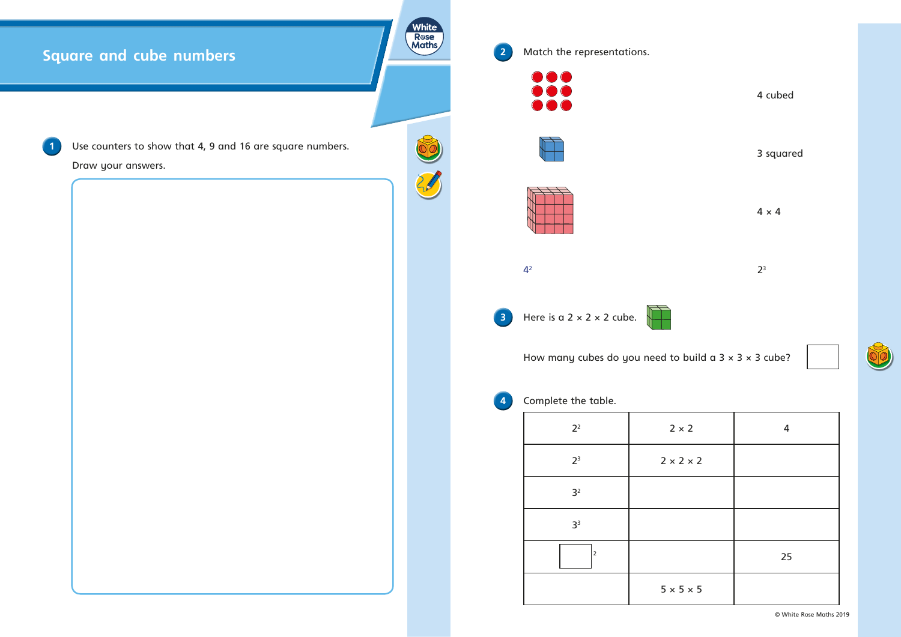## **Square and cube numbers**



**White** Rose<br>Maths

Match the representations.



Use counters to show that 4, 9 and 16 are square numbers.

Draw your answers.

cubed

squared



| implete the table. |                       |    |  |  |  |  |  |  |  |
|--------------------|-----------------------|----|--|--|--|--|--|--|--|
| 2 <sup>2</sup>     | $2 \times 2$          | 4  |  |  |  |  |  |  |  |
| 2 <sup>3</sup>     | $2 \times 2 \times 2$ |    |  |  |  |  |  |  |  |
| 3 <sup>2</sup>     |                       |    |  |  |  |  |  |  |  |
| 3 <sup>3</sup>     |                       |    |  |  |  |  |  |  |  |
|                    |                       | 25 |  |  |  |  |  |  |  |
|                    | $5 \times 5 \times 5$ |    |  |  |  |  |  |  |  |

© White Rose Maths 2019

 $\delta\!{\rm O}$ 

 $4 \times 4$